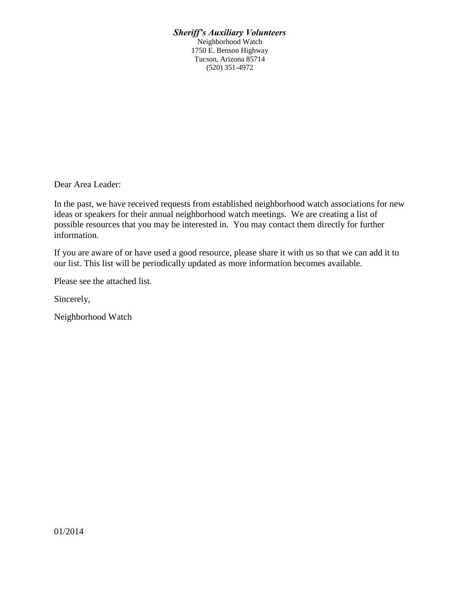## *Sheriff's Auxiliary Volunteers*

Neighborhood Watch 1750 E. Benson Highway Tucson, Arizona 85714 (520) 351-4972

Dear Area Leader:

In the past, we have received requests from established neighborhood watch associations for new ideas or speakers for their annual neighborhood watch meetings. We are creating a list of possible resources that you may be interested in. You may contact them directly for further information.

If you are aware of or have used a good resource, please share it with us so that we can add it to our list. This list will be periodically updated as more information becomes available.

Please see the attached list.

Sincerely,

Neighborhood Watch